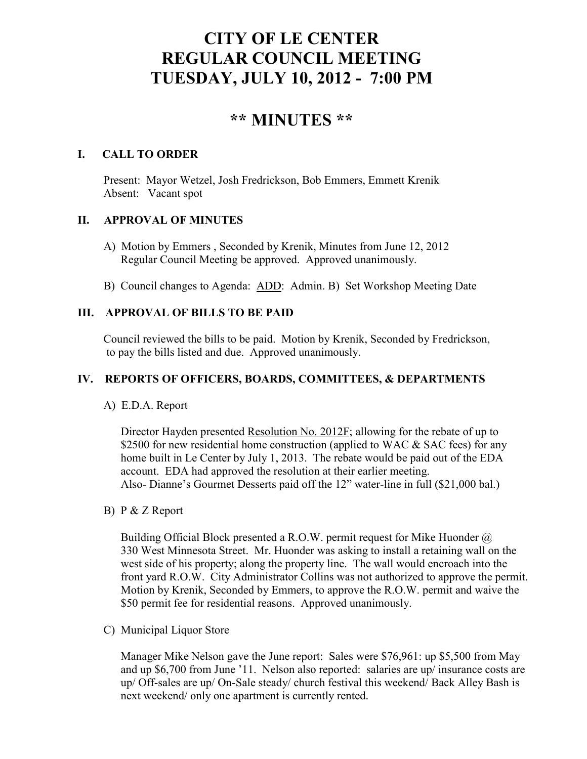# **CITY OF LE CENTER REGULAR COUNCIL MEETING TUESDAY, JULY 10, 2012 - 7:00 PM**

# **\*\* MINUTES \*\***

# **I. CALL TO ORDER**

Present: Mayor Wetzel, Josh Fredrickson, Bob Emmers, Emmett Krenik Absent: Vacant spot

# **II. APPROVAL OF MINUTES**

- A) Motion by Emmers , Seconded by Krenik, Minutes from June 12, 2012 Regular Council Meeting be approved. Approved unanimously.
- B) Council changes to Agenda: ADD: Admin. B) Set Workshop Meeting Date

# **III. APPROVAL OF BILLS TO BE PAID**

Council reviewed the bills to be paid. Motion by Krenik, Seconded by Fredrickson, to pay the bills listed and due. Approved unanimously.

# **IV. REPORTS OF OFFICERS, BOARDS, COMMITTEES, & DEPARTMENTS**

A) E.D.A. Report

 Director Hayden presented Resolution No. 2012F; allowing for the rebate of up to \$2500 for new residential home construction (applied to WAC & SAC fees) for any home built in Le Center by July 1, 2013. The rebate would be paid out of the EDA account. EDA had approved the resolution at their earlier meeting. Also- Dianne's Gourmet Desserts paid off the 12" water-line in full (\$21,000 bal.)

B) P & Z Report

 Building Official Block presented a R.O.W. permit request for Mike Huonder @ 330 West Minnesota Street. Mr. Huonder was asking to install a retaining wall on the west side of his property; along the property line. The wall would encroach into the front yard R.O.W. City Administrator Collins was not authorized to approve the permit. Motion by Krenik, Seconded by Emmers, to approve the R.O.W. permit and waive the \$50 permit fee for residential reasons. Approved unanimously.

C) Municipal Liquor Store

Manager Mike Nelson gave the June report: Sales were \$76,961: up \$5,500 from May and up \$6,700 from June '11. Nelson also reported: salaries are up/ insurance costs are up/ Off-sales are up/ On-Sale steady/ church festival this weekend/ Back Alley Bash is next weekend/ only one apartment is currently rented.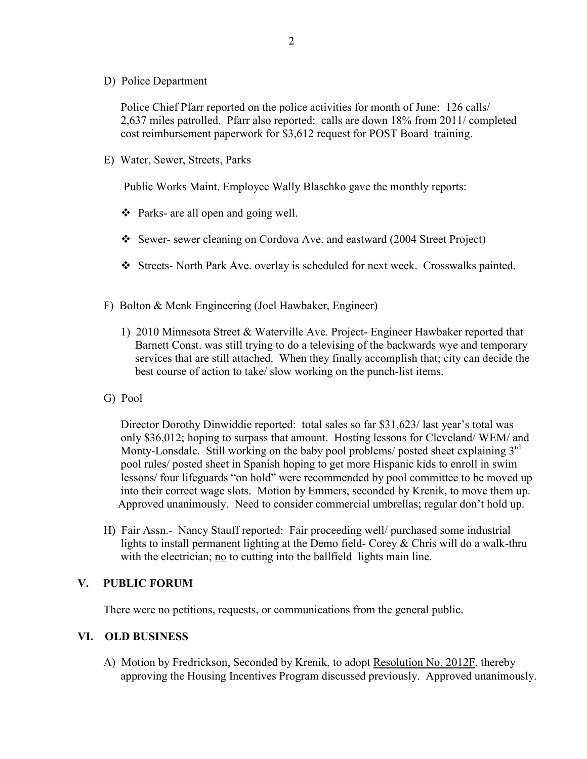D) Police Department

Police Chief Pfarr reported on the police activities for month of June: 126 calls/ 2,637 miles patrolled. Pfarr also reported: calls are down 18% from 2011/ completed cost reimbursement paperwork for \$3,612 request for POST Board training.

E) Water, Sewer, Streets, Parks

Public Works Maint. Employee Wally Blaschko gave the monthly reports:

- Parks- are all open and going well.
- Sewer- sewer cleaning on Cordova Ave. and eastward (2004 Street Project)
- Streets- North Park Ave. overlay is scheduled for next week. Crosswalks painted.
- F) Bolton & Menk Engineering (Joel Hawbaker, Engineer)
	- 1) 2010 Minnesota Street & Waterville Ave. Project- Engineer Hawbaker reported that Barnett Const. was still trying to do a televising of the backwards wye and temporary services that are still attached. When they finally accomplish that; city can decide the best course of action to take/ slow working on the punch-list items.
- G) Pool

 Director Dorothy Dinwiddie reported: total sales so far \$31,623/ last year's total was only \$36,012; hoping to surpass that amount. Hosting lessons for Cleveland/ WEM/ and Monty-Lonsdale. Still working on the baby pool problems/ posted sheet explaining 3<sup>rd</sup> pool rules/ posted sheet in Spanish hoping to get more Hispanic kids to enroll in swim lessons/ four lifeguards "on hold" were recommended by pool committee to be moved up into their correct wage slots. Motion by Emmers, seconded by Krenik, to move them up. Approved unanimously. Need to consider commercial umbrellas; regular don't hold up.

H) Fair Assn.- Nancy Stauff reported: Fair proceeding well/ purchased some industrial lights to install permanent lighting at the Demo field- Corey & Chris will do a walk-thru with the electrician; no to cutting into the ballfield lights main line.

#### **V. PUBLIC FORUM**

There were no petitions, requests, or communications from the general public.

#### **VI. OLD BUSINESS**

 A) Motion by Fredrickson, Seconded by Krenik, to adopt Resolution No. 2012F, thereby approving the Housing Incentives Program discussed previously. Approved unanimously.